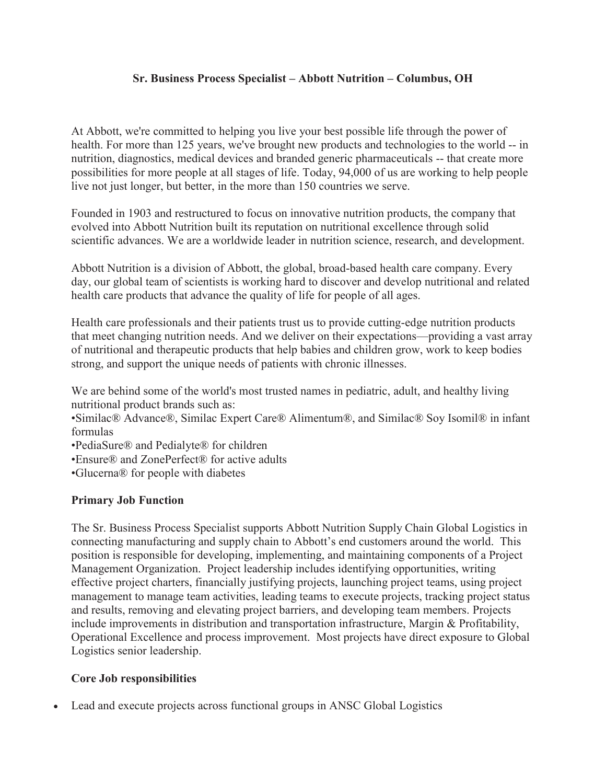### **Sr. Business Process Specialist – Abbott Nutrition – Columbus, OH**

At Abbott, we're committed to helping you live your best possible life through the power of health. For more than 125 years, we've brought new products and technologies to the world -- in nutrition, diagnostics, medical devices and branded generic pharmaceuticals -- that create more possibilities for more people at all stages of life. Today, 94,000 of us are working to help people live not just longer, but better, in the more than 150 countries we serve.

Founded in 1903 and restructured to focus on innovative nutrition products, the company that evolved into Abbott Nutrition built its reputation on nutritional excellence through solid scientific advances. We are a worldwide leader in nutrition science, research, and development.

Abbott Nutrition is a division of Abbott, the global, broad-based health care company. Every day, our global team of scientists is working hard to discover and develop nutritional and related health care products that advance the quality of life for people of all ages.

Health care professionals and their patients trust us to provide cutting-edge nutrition products that meet changing nutrition needs. And we deliver on their expectations—providing a vast array of nutritional and therapeutic products that help babies and children grow, work to keep bodies strong, and support the unique needs of patients with chronic illnesses.

We are behind some of the world's most trusted names in pediatric, adult, and healthy living nutritional product brands such as:

•Similac® Advance®, Similac Expert Care® Alimentum®, and Similac® Soy Isomil® in infant formulas

- •PediaSure® and Pedialyte® for children
- •Ensure® and ZonePerfect® for active adults
- •Glucerna® for people with diabetes

## **Primary Job Function**

The Sr. Business Process Specialist supports Abbott Nutrition Supply Chain Global Logistics in connecting manufacturing and supply chain to Abbott's end customers around the world. This position is responsible for developing, implementing, and maintaining components of a Project Management Organization. Project leadership includes identifying opportunities, writing effective project charters, financially justifying projects, launching project teams, using project management to manage team activities, leading teams to execute projects, tracking project status and results, removing and elevating project barriers, and developing team members. Projects include improvements in distribution and transportation infrastructure, Margin & Profitability, Operational Excellence and process improvement. Most projects have direct exposure to Global Logistics senior leadership.

## **Core Job responsibilities**

• Lead and execute projects across functional groups in ANSC Global Logistics